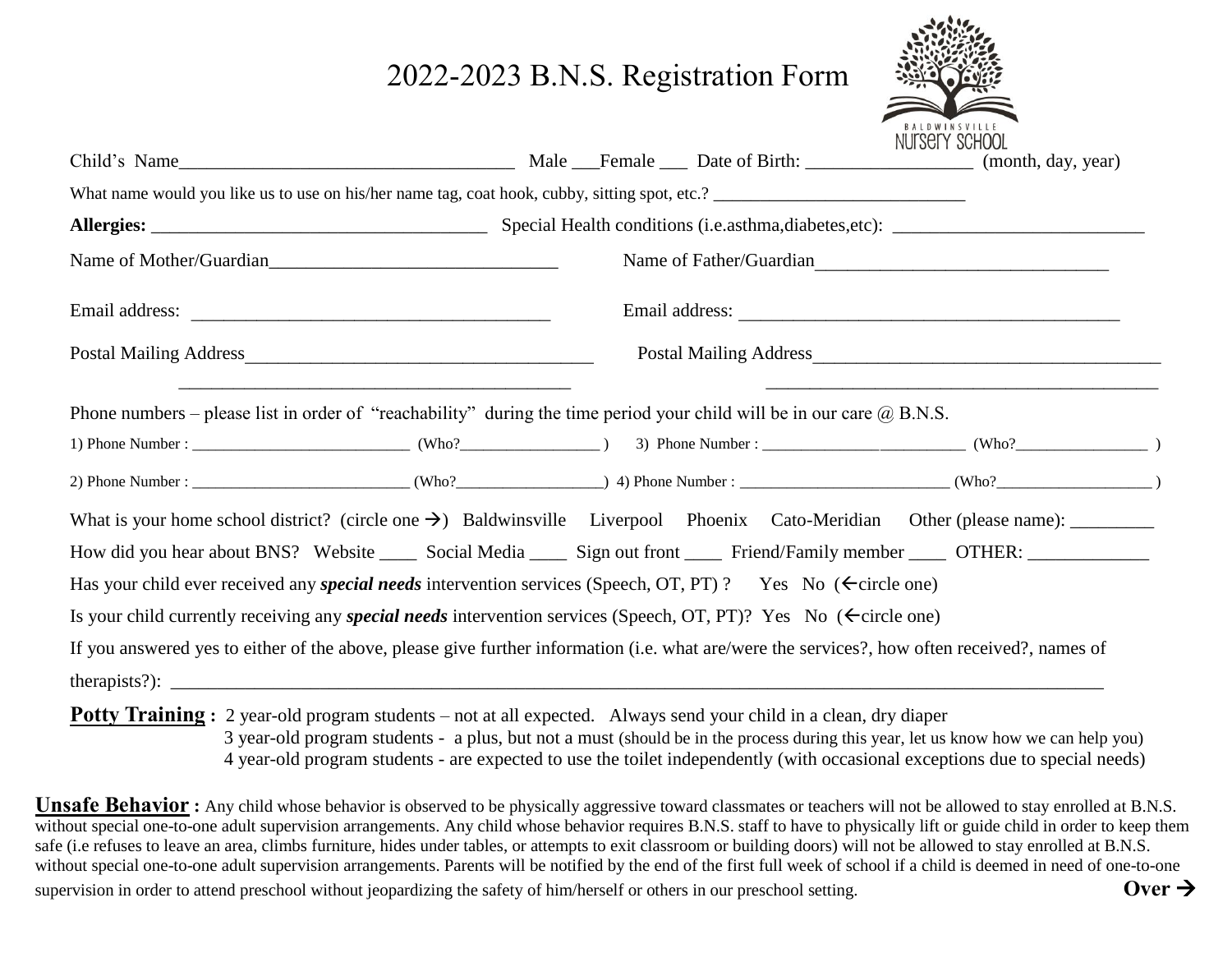## 2022-2023 B.N.S. Registration Form

|                                                                                                                                                                                          |  |  |  |  | <b>BALDWINSVILLE</b><br>NUTSETY SCHOOL |
|------------------------------------------------------------------------------------------------------------------------------------------------------------------------------------------|--|--|--|--|----------------------------------------|
|                                                                                                                                                                                          |  |  |  |  |                                        |
|                                                                                                                                                                                          |  |  |  |  |                                        |
| Name of Mother/Guardian                                                                                                                                                                  |  |  |  |  | Name of Father/Guardian                |
|                                                                                                                                                                                          |  |  |  |  |                                        |
|                                                                                                                                                                                          |  |  |  |  |                                        |
| <u> 1989 - Johann Stoff, amerikansk politiker (d. 1989)</u><br>Phone numbers – please list in order of "reachability" during the time period your child will be in our care $(a)$ B.N.S. |  |  |  |  |                                        |
|                                                                                                                                                                                          |  |  |  |  |                                        |
|                                                                                                                                                                                          |  |  |  |  |                                        |
|                                                                                                                                                                                          |  |  |  |  |                                        |
|                                                                                                                                                                                          |  |  |  |  |                                        |
| Has your child ever received any <i>special needs</i> intervention services (Speech, OT, PT)? Yes No ( $\epsilon$ circle one)                                                            |  |  |  |  |                                        |
| Is your child currently receiving any <i>special needs</i> intervention services (Speech, OT, PT)? Yes No ( $\leftarrow$ circle one)                                                     |  |  |  |  |                                        |
| If you answered yes to either of the above, please give further information (i.e. what are/were the services?, how often received?, names of                                             |  |  |  |  |                                        |
|                                                                                                                                                                                          |  |  |  |  |                                        |
| <b>Potty Training</b> : 2 year-old program students – not at all expected. Always send your child in a clean, dry diaper                                                                 |  |  |  |  |                                        |

 3 year-old program students - a plus, but not a must (should be in the process during this year, let us know how we can help you) 4 year-old program students - are expected to use the toilet independently (with occasional exceptions due to special needs)

**Unsafe Behavior**: Any child whose behavior is observed to be physically aggressive toward classmates or teachers will not be allowed to stay enrolled at B.N.S. without special one-to-one adult supervision arrangements. Any child whose behavior requires B.N.S. staff to have to physically lift or guide child in order to keep them safe (i.e refuses to leave an area, climbs furniture, hides under tables, or attempts to exit classroom or building doors) will not be allowed to stay enrolled at B.N.S. without special one-to-one adult supervision arrangements. Parents will be notified by the end of the first full week of school if a child is deemed in need of one-to-one supervision in order to attend preschool without jeopardizing the safety of him/herself or others in our preschool setting.  $\mathbf{Over} \rightarrow$